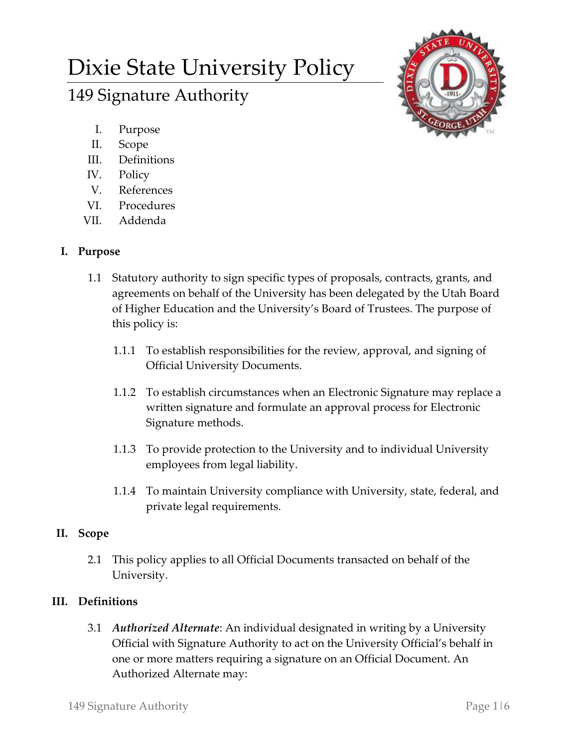# Dixie State University Policy

## 149 Signature Authority

- I. Purpose
- II. Scope
- III. Definitions
- IV. Policy
- V. References
- VI. Procedures
- VII. Addenda

## **I. Purpose**

- 1.1 Statutory authority to sign specific types of proposals, contracts, grants, and agreements on behalf of the University has been delegated by the Utah Board of Higher Education and the University's Board of Trustees. The purpose of this policy is:
	- 1.1.1 To establish responsibilities for the review, approval, and signing of Official University Documents.
	- 1.1.2 To establish circumstances when an Electronic Signature may replace a written signature and formulate an approval process for Electronic Signature methods.
	- 1.1.3 To provide protection to the University and to individual University employees from legal liability.
	- 1.1.4 To maintain University compliance with University, state, federal, and private legal requirements.

## **II. Scope**

2.1 This policy applies to all Official Documents transacted on behalf of the University.

## **III. Definitions**

3.1 *Authorized Alternate*: An individual designated in writing by a University Official with Signature Authority to act on the University Official's behalf in one or more matters requiring a signature on an Official Document. An Authorized Alternate may: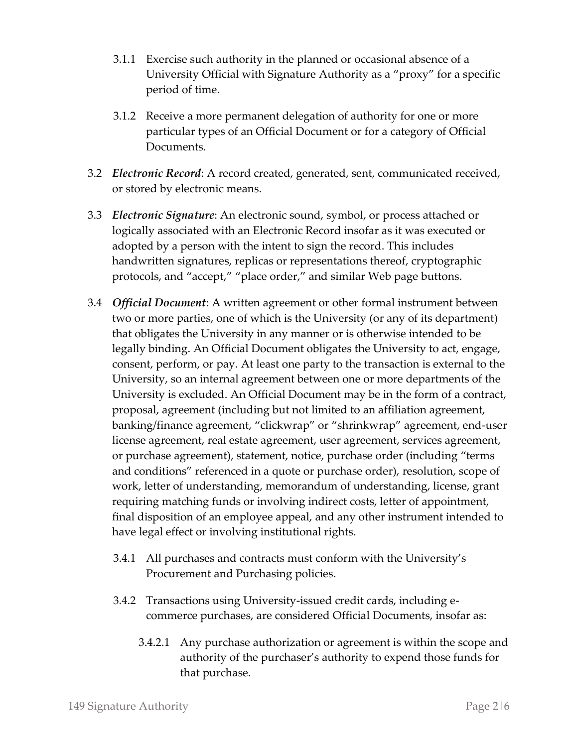- 3.1.1 Exercise such authority in the planned or occasional absence of a University Official with Signature Authority as a "proxy" for a specific period of time.
- 3.1.2 Receive a more permanent delegation of authority for one or more particular types of an Official Document or for a category of Official Documents.
- 3.2 *Electronic Record*: A record created, generated, sent, communicated received, or stored by electronic means.
- 3.3 *Electronic Signature*: An electronic sound, symbol, or process attached or logically associated with an Electronic Record insofar as it was executed or adopted by a person with the intent to sign the record. This includes handwritten signatures, replicas or representations thereof, cryptographic protocols, and "accept," "place order," and similar Web page buttons.
- 3.4 *Official Document*: A written agreement or other formal instrument between two or more parties, one of which is the University (or any of its department) that obligates the University in any manner or is otherwise intended to be legally binding. An Official Document obligates the University to act, engage, consent, perform, or pay. At least one party to the transaction is external to the University, so an internal agreement between one or more departments of the University is excluded. An Official Document may be in the form of a contract, proposal, agreement (including but not limited to an affiliation agreement, banking/finance agreement, "clickwrap" or "shrinkwrap" agreement, end-user license agreement, real estate agreement, user agreement, services agreement, or purchase agreement), statement, notice, purchase order (including "terms and conditions" referenced in a quote or purchase order), resolution, scope of work, letter of understanding, memorandum of understanding, license, grant requiring matching funds or involving indirect costs, letter of appointment, final disposition of an employee appeal, and any other instrument intended to have legal effect or involving institutional rights.
	- 3.4.1 All purchases and contracts must conform with the University's Procurement and Purchasing policies.
	- 3.4.2 Transactions using University-issued credit cards, including ecommerce purchases, are considered Official Documents, insofar as:
		- 3.4.2.1 Any purchase authorization or agreement is within the scope and authority of the purchaser's authority to expend those funds for that purchase.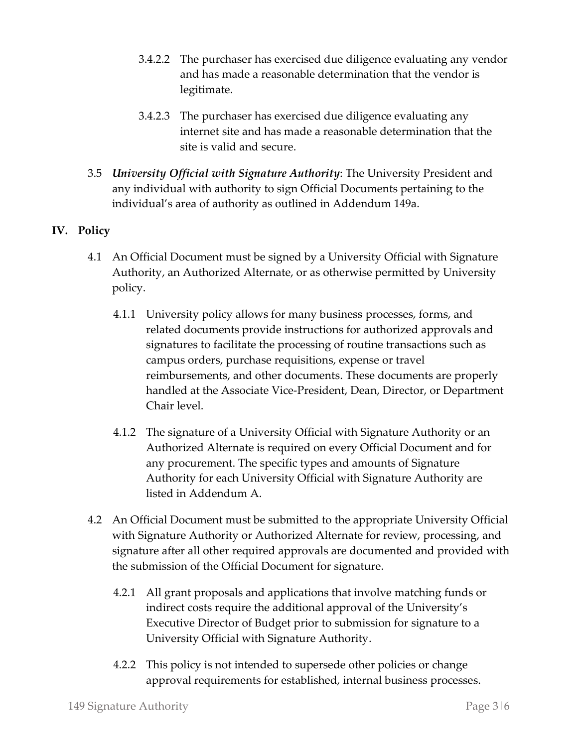- 3.4.2.2 The purchaser has exercised due diligence evaluating any vendor and has made a reasonable determination that the vendor is legitimate.
- 3.4.2.3 The purchaser has exercised due diligence evaluating any internet site and has made a reasonable determination that the site is valid and secure.
- 3.5 *University Official with Signature Authority*: The University President and any individual with authority to sign Official Documents pertaining to the individual's area of authority as outlined in Addendum 149a.

### **IV. Policy**

- 4.1 An Official Document must be signed by a University Official with Signature Authority, an Authorized Alternate, or as otherwise permitted by University policy.
	- 4.1.1 University policy allows for many business processes, forms, and related documents provide instructions for authorized approvals and signatures to facilitate the processing of routine transactions such as campus orders, purchase requisitions, expense or travel reimbursements, and other documents. These documents are properly handled at the Associate Vice-President, Dean, Director, or Department Chair level.
	- 4.1.2 The signature of a University Official with Signature Authority or an Authorized Alternate is required on every Official Document and for any procurement. The specific types and amounts of Signature Authority for each University Official with Signature Authority are listed in Addendum A.
- 4.2 An Official Document must be submitted to the appropriate University Official with Signature Authority or Authorized Alternate for review, processing, and signature after all other required approvals are documented and provided with the submission of the Official Document for signature.
	- 4.2.1 All grant proposals and applications that involve matching funds or indirect costs require the additional approval of the University's Executive Director of Budget prior to submission for signature to a University Official with Signature Authority.
	- 4.2.2 This policy is not intended to supersede other policies or change approval requirements for established, internal business processes.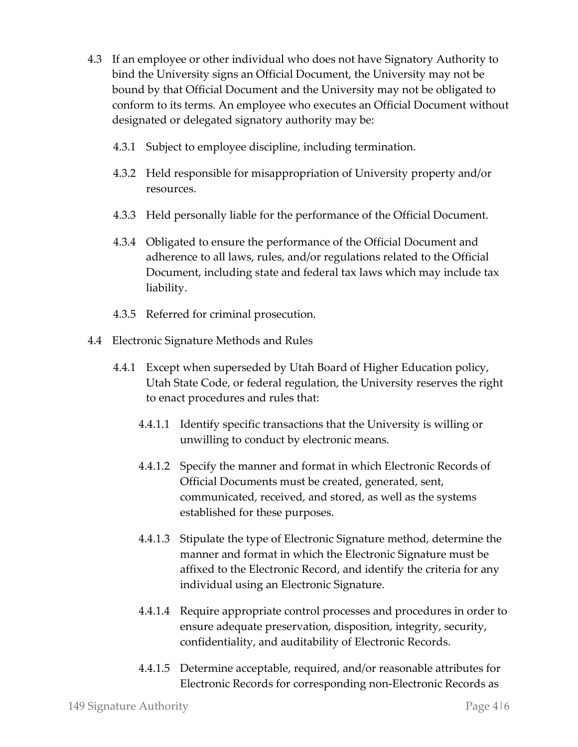- 4.3 If an employee or other individual who does not have Signatory Authority to bind the University signs an Official Document, the University may not be bound by that Official Document and the University may not be obligated to conform to its terms. An employee who executes an Official Document without designated or delegated signatory authority may be:
	- 4.3.1 Subject to employee discipline, including termination.
	- 4.3.2 Held responsible for misappropriation of University property and/or resources.
	- 4.3.3 Held personally liable for the performance of the Official Document.
	- 4.3.4 Obligated to ensure the performance of the Official Document and adherence to all laws, rules, and/or regulations related to the Official Document, including state and federal tax laws which may include tax liability.
	- 4.3.5 Referred for criminal prosecution.
- 4.4 Electronic Signature Methods and Rules
	- 4.4.1 Except when superseded by Utah Board of Higher Education policy, Utah State Code, or federal regulation, the University reserves the right to enact procedures and rules that:
		- 4.4.1.1 Identify specific transactions that the University is willing or unwilling to conduct by electronic means.
		- 4.4.1.2 Specify the manner and format in which Electronic Records of Official Documents must be created, generated, sent, communicated, received, and stored, as well as the systems established for these purposes.
		- 4.4.1.3 Stipulate the type of Electronic Signature method, determine the manner and format in which the Electronic Signature must be affixed to the Electronic Record, and identify the criteria for any individual using an Electronic Signature.
		- 4.4.1.4 Require appropriate control processes and procedures in order to ensure adequate preservation, disposition, integrity, security, confidentiality, and auditability of Electronic Records.
		- 4.4.1.5 Determine acceptable, required, and/or reasonable attributes for Electronic Records for corresponding non-Electronic Records as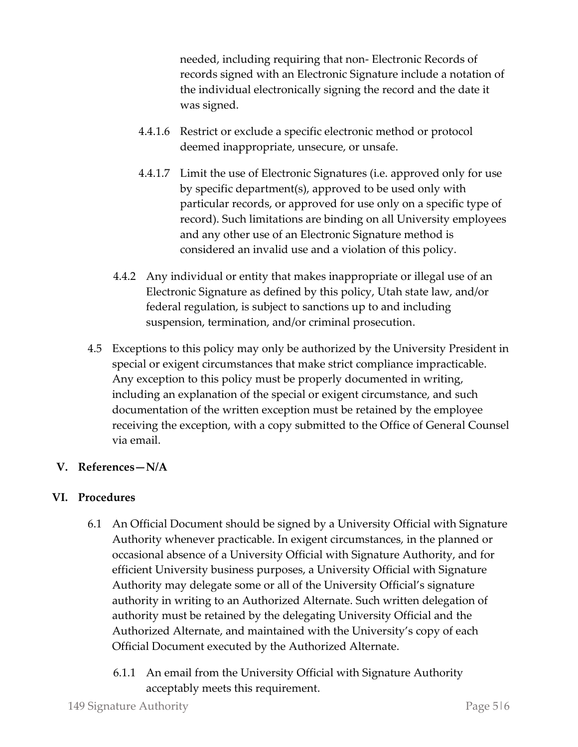needed, including requiring that non- Electronic Records of records signed with an Electronic Signature include a notation of the individual electronically signing the record and the date it was signed.

- 4.4.1.6 Restrict or exclude a specific electronic method or protocol deemed inappropriate, unsecure, or unsafe.
- 4.4.1.7 Limit the use of Electronic Signatures (i.e. approved only for use by specific department(s), approved to be used only with particular records, or approved for use only on a specific type of record). Such limitations are binding on all University employees and any other use of an Electronic Signature method is considered an invalid use and a violation of this policy.
- 4.4.2 Any individual or entity that makes inappropriate or illegal use of an Electronic Signature as defined by this policy, Utah state law, and/or federal regulation, is subject to sanctions up to and including suspension, termination, and/or criminal prosecution.
- 4.5 Exceptions to this policy may only be authorized by the University President in special or exigent circumstances that make strict compliance impracticable. Any exception to this policy must be properly documented in writing, including an explanation of the special or exigent circumstance, and such documentation of the written exception must be retained by the employee receiving the exception, with a copy submitted to the Office of General Counsel via email.

#### **V. References—N/A**

#### **VI. Procedures**

- 6.1 An Official Document should be signed by a University Official with Signature Authority whenever practicable. In exigent circumstances, in the planned or occasional absence of a University Official with Signature Authority, and for efficient University business purposes, a University Official with Signature Authority may delegate some or all of the University Official's signature authority in writing to an Authorized Alternate. Such written delegation of authority must be retained by the delegating University Official and the Authorized Alternate, and maintained with the University's copy of each Official Document executed by the Authorized Alternate.
	- 6.1.1 An email from the University Official with Signature Authority acceptably meets this requirement.